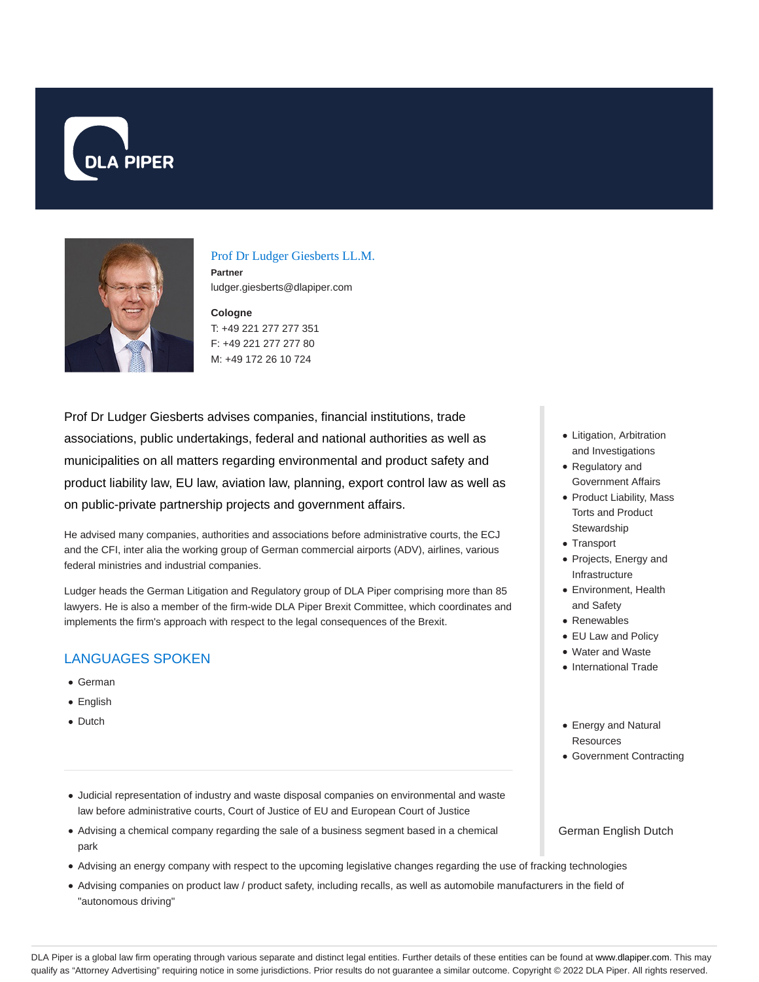



## Prof Dr Ludger Giesberts LL.M.

**Partner** ludger.giesberts@dlapiper.com

**Cologne** T: +49 221 277 277 351 F: +49 221 277 277 80 M: +49 172 26 10 724

Prof Dr Ludger Giesberts advises companies, financial institutions, trade associations, public undertakings, federal and national authorities as well as municipalities on all matters regarding environmental and product safety and product liability law, EU law, aviation law, planning, export control law as well as on public-private partnership projects and government affairs.

He advised many companies, authorities and associations before administrative courts, the ECJ and the CFI, inter alia the working group of German commercial airports (ADV), airlines, various federal ministries and industrial companies.

Ludger heads the German Litigation and Regulatory group of DLA Piper comprising more than 85 lawyers. He is also a member of the firm-wide DLA Piper Brexit Committee, which coordinates and implements the firm's approach with respect to the legal consequences of the Brexit.

# LANGUAGES SPOKEN

- German
- English
- Dutch
- Litigation, Arbitration and Investigations
- Regulatory and Government Affairs
- Product Liability, Mass Torts and Product **Stewardship**
- Transport
- Projects, Energy and Infrastructure
- Environment, Health and Safety
- Renewables
- EU Law and Policy
- Water and Waste
- International Trade
- Energy and Natural **Resources**
- Government Contracting
- Judicial representation of industry and waste disposal companies on environmental and waste law before administrative courts, Court of Justice of EU and European Court of Justice
- Advising a chemical company regarding the sale of a business segment based in a chemical park
- Advising an energy company with respect to the upcoming legislative changes regarding the use of fracking technologies
- Advising companies on product law / product safety, including recalls, as well as automobile manufacturers in the field of "autonomous driving"

German English Dutch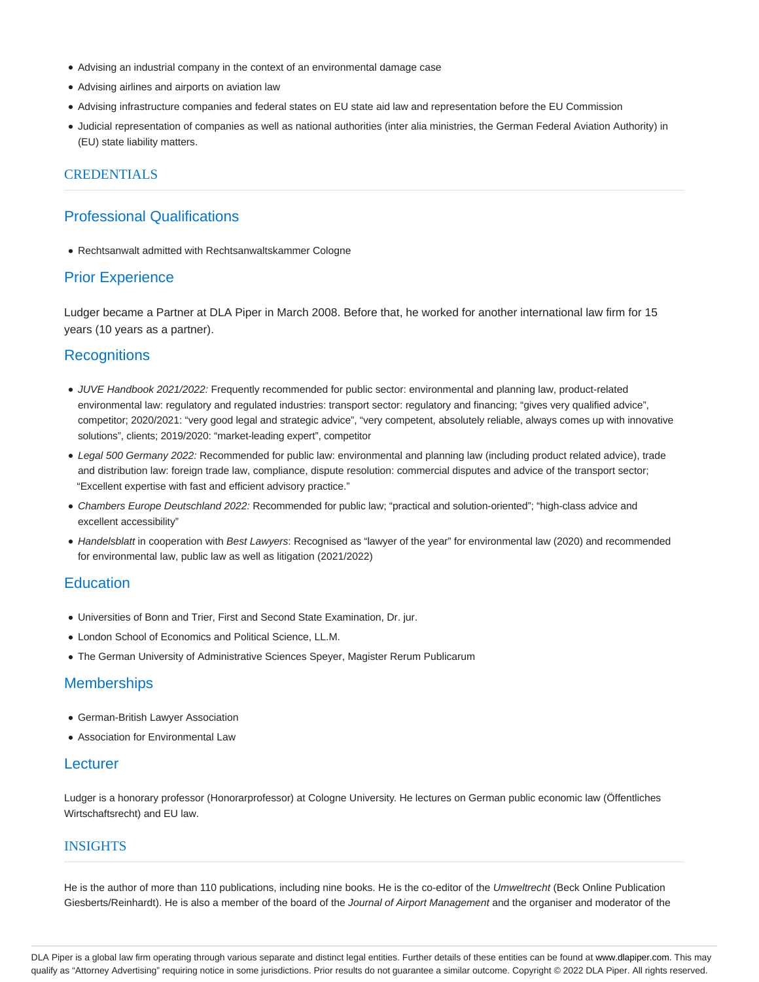- Advising an industrial company in the context of an environmental damage case
- Advising airlines and airports on aviation law
- Advising infrastructure companies and federal states on EU state aid law and representation before the EU Commission
- Judicial representation of companies as well as national authorities (inter alia ministries, the German Federal Aviation Authority) in (EU) state liability matters.

### **CREDENTIALS**

## Professional Qualifications

Rechtsanwalt admitted with Rechtsanwaltskammer Cologne

### Prior Experience

Ludger became a Partner at DLA Piper in March 2008. Before that, he worked for another international law firm for 15 years (10 years as a partner).

## **Recognitions**

- JUVE Handbook 2021/2022: Frequently recommended for public sector: environmental and planning law, product-related environmental law: regulatory and regulated industries: transport sector: regulatory and financing; "gives very qualified advice", competitor; 2020/2021: "very good legal and strategic advice", "very competent, absolutely reliable, always comes up with innovative solutions", clients; 2019/2020: "market-leading expert", competitor
- Legal 500 Germany 2022: Recommended for public law: environmental and planning law (including product related advice), trade and distribution law: foreign trade law, compliance, dispute resolution: commercial disputes and advice of the transport sector; "Excellent expertise with fast and efficient advisory practice."
- Chambers Europe Deutschland 2022: Recommended for public law; "practical and solution-oriented"; "high-class advice and excellent accessibility"
- Handelsblatt in cooperation with Best Lawyers: Recognised as "lawyer of the year" for environmental law (2020) and recommended for environmental law, public law as well as litigation (2021/2022)

### **Education**

- Universities of Bonn and Trier, First and Second State Examination, Dr. jur.
- London School of Economics and Political Science, LL.M.
- The German University of Administrative Sciences Speyer, Magister Rerum Publicarum

## **Memberships**

- German-British Lawyer Association
- Association for Environmental Law

## **Lecturer**

Ludger is a honorary professor (Honorarprofessor) at Cologne University. He lectures on German public economic law (Öffentliches Wirtschaftsrecht) and EU law.

# **INSIGHTS**

He is the author of more than 110 publications, including nine books. He is the co-editor of the Umweltrecht (Beck Online Publication Giesberts/Reinhardt). He is also a member of the board of the Journal of Airport Management and the organiser and moderator of the

DLA Piper is a global law firm operating through various separate and distinct legal entities. Further details of these entities can be found at www.dlapiper.com. This may qualify as "Attorney Advertising" requiring notice in some jurisdictions. Prior results do not guarantee a similar outcome. Copyright © 2022 DLA Piper. All rights reserved.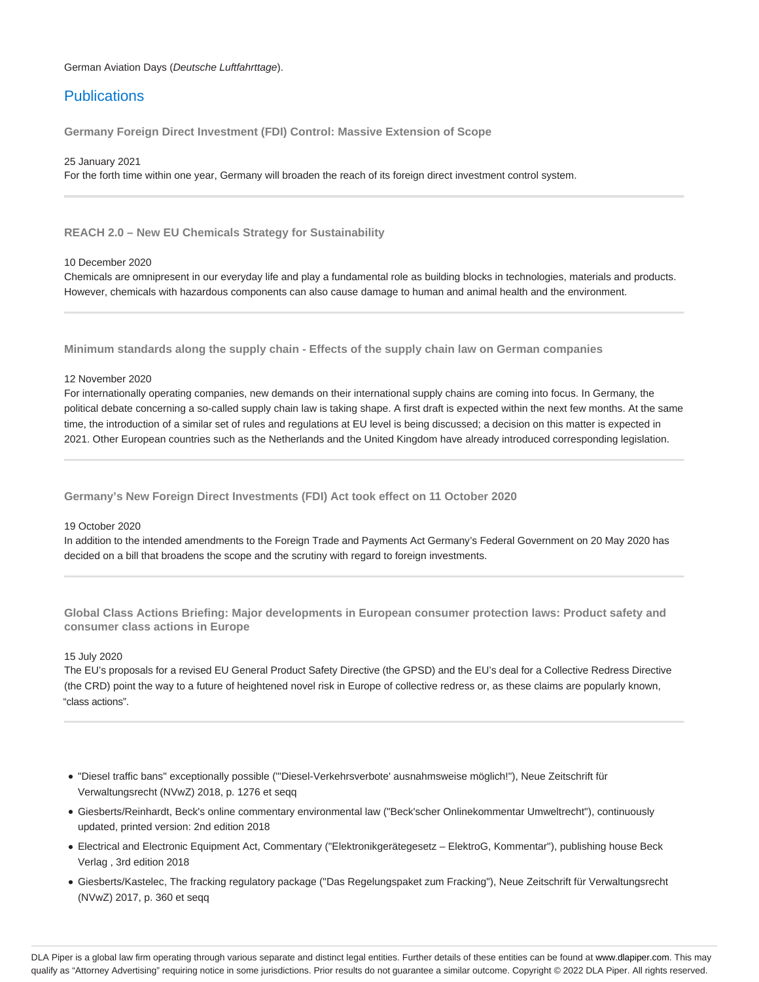German Aviation Days (Deutsche Luftfahrttage).

# **Publications**

**Germany Foreign Direct Investment (FDI) Control: Massive Extension of Scope**

25 January 2021

For the forth time within one year, Germany will broaden the reach of its foreign direct investment control system.

**REACH 2.0 – New EU Chemicals Strategy for Sustainability**

### 10 December 2020

Chemicals are omnipresent in our everyday life and play a fundamental role as building blocks in technologies, materials and products. However, chemicals with hazardous components can also cause damage to human and animal health and the environment.

**Minimum standards along the supply chain - Effects of the supply chain law on German companies**

### 12 November 2020

For internationally operating companies, new demands on their international supply chains are coming into focus. In Germany, the political debate concerning a so-called supply chain law is taking shape. A first draft is expected within the next few months. At the same time, the introduction of a similar set of rules and regulations at EU level is being discussed; a decision on this matter is expected in 2021. Other European countries such as the Netherlands and the United Kingdom have already introduced corresponding legislation.

**Germany's New Foreign Direct Investments (FDI) Act took effect on 11 October 2020**

### 19 October 2020

In addition to the intended amendments to the Foreign Trade and Payments Act Germany's Federal Government on 20 May 2020 has decided on a bill that broadens the scope and the scrutiny with regard to foreign investments.

**Global Class Actions Briefing: Major developments in European consumer protection laws: Product safety and consumer class actions in Europe**

### 15 July 2020

The EU's proposals for a revised EU General Product Safety Directive (the GPSD) and the EU's deal for a Collective Redress Directive (the CRD) point the way to a future of heightened novel risk in Europe of collective redress or, as these claims are popularly known, "class actions".

- "Diesel traffic bans" exceptionally possible ("'Diesel-Verkehrsverbote' ausnahmsweise möglich!"), Neue Zeitschrift für Verwaltungsrecht (NVwZ) 2018, p. 1276 et seqq
- Giesberts/Reinhardt, Beck's online commentary environmental law ("Beck'scher Onlinekommentar Umweltrecht"), continuously updated, printed version: 2nd edition 2018
- Electrical and Electronic Equipment Act, Commentary ("Elektronikgerätegesetz ElektroG, Kommentar"), publishing house Beck Verlag , 3rd edition 2018
- Giesberts/Kastelec, The fracking regulatory package ("Das Regelungspaket zum Fracking"), Neue Zeitschrift für Verwaltungsrecht (NVwZ) 2017, p. 360 et seqq